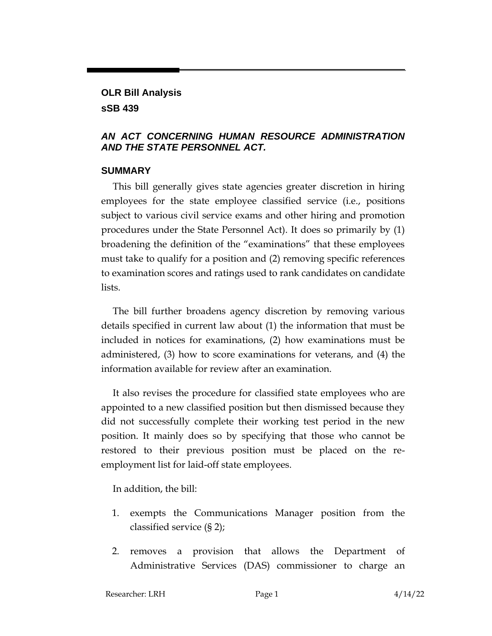# **OLR Bill Analysis**

#### **sSB 439**

## *AN ACT CONCERNING HUMAN RESOURCE ADMINISTRATION AND THE STATE PERSONNEL ACT.*

## **SUMMARY**

This bill generally gives state agencies greater discretion in hiring employees for the state employee classified service (i.e., positions subject to various civil service exams and other hiring and promotion procedures under the State Personnel Act). It does so primarily by (1) broadening the definition of the "examinations" that these employees must take to qualify for a position and (2) removing specific references to examination scores and ratings used to rank candidates on candidate lists.

The bill further broadens agency discretion by removing various details specified in current law about (1) the information that must be included in notices for examinations, (2) how examinations must be administered, (3) how to score examinations for veterans, and (4) the information available for review after an examination.

It also revises the procedure for classified state employees who are appointed to a new classified position but then dismissed because they did not successfully complete their working test period in the new position. It mainly does so by specifying that those who cannot be restored to their previous position must be placed on the reemployment list for laid-off state employees.

In addition, the bill:

- 1. exempts the Communications Manager position from the classified service (§ 2);
- 2. removes a provision that allows the Department of Administrative Services (DAS) commissioner to charge an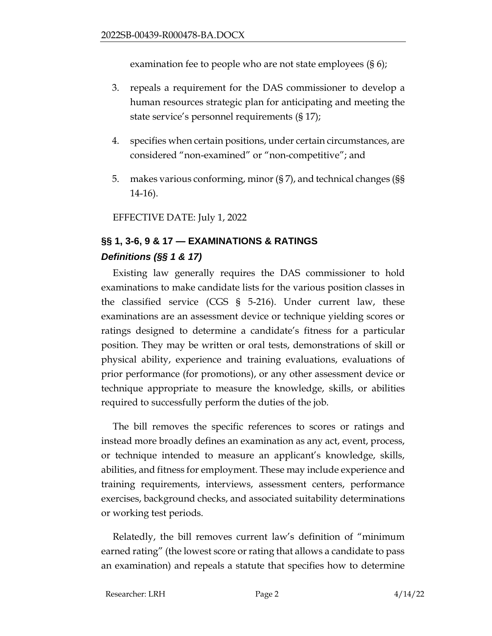examination fee to people who are not state employees (§ 6);

- 3. repeals a requirement for the DAS commissioner to develop a human resources strategic plan for anticipating and meeting the state service's personnel requirements (§ 17);
- 4. specifies when certain positions, under certain circumstances, are considered "non-examined" or "non-competitive"; and
- 5. makes various conforming, minor (§ 7), and technical changes (§§ 14-16).

EFFECTIVE DATE: July 1, 2022

## **§§ 1, 3-6, 9 & 17 — EXAMINATIONS & RATINGS** *Definitions (§§ 1 & 17)*

Existing law generally requires the DAS commissioner to hold examinations to make candidate lists for the various position classes in the classified service (CGS § 5-216). Under current law, these examinations are an assessment device or technique yielding scores or ratings designed to determine a candidate's fitness for a particular position. They may be written or oral tests, demonstrations of skill or physical ability, experience and training evaluations, evaluations of prior performance (for promotions), or any other assessment device or technique appropriate to measure the knowledge, skills, or abilities required to successfully perform the duties of the job.

The bill removes the specific references to scores or ratings and instead more broadly defines an examination as any act, event, process, or technique intended to measure an applicant's knowledge, skills, abilities, and fitness for employment. These may include experience and training requirements, interviews, assessment centers, performance exercises, background checks, and associated suitability determinations or working test periods.

Relatedly, the bill removes current law's definition of "minimum earned rating" (the lowest score or rating that allows a candidate to pass an examination) and repeals a statute that specifies how to determine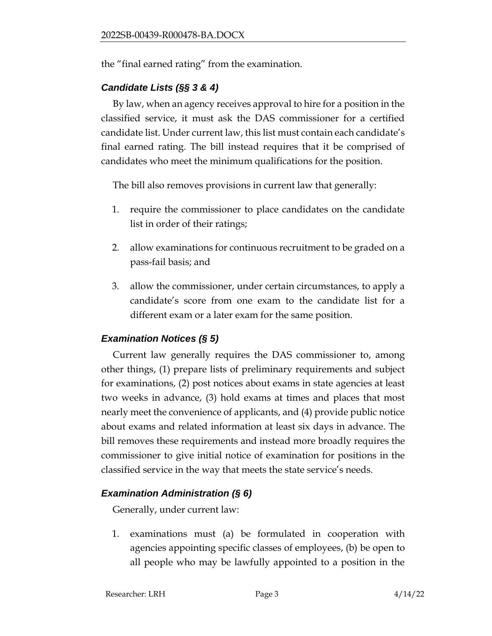the "final earned rating" from the examination.

## *Candidate Lists (§§ 3 & 4)*

By law, when an agency receives approval to hire for a position in the classified service, it must ask the DAS commissioner for a certified candidate list. Under current law, this list must contain each candidate's final earned rating. The bill instead requires that it be comprised of candidates who meet the minimum qualifications for the position.

The bill also removes provisions in current law that generally:

- 1. require the commissioner to place candidates on the candidate list in order of their ratings;
- 2. allow examinations for continuous recruitment to be graded on a pass-fail basis; and
- 3. allow the commissioner, under certain circumstances, to apply a candidate's score from one exam to the candidate list for a different exam or a later exam for the same position.

## *Examination Notices (§ 5)*

Current law generally requires the DAS commissioner to, among other things, (1) prepare lists of preliminary requirements and subject for examinations, (2) post notices about exams in state agencies at least two weeks in advance, (3) hold exams at times and places that most nearly meet the convenience of applicants, and (4) provide public notice about exams and related information at least six days in advance. The bill removes these requirements and instead more broadly requires the commissioner to give initial notice of examination for positions in the classified service in the way that meets the state service's needs.

## *Examination Administration (§ 6)*

Generally, under current law:

1. examinations must (a) be formulated in cooperation with agencies appointing specific classes of employees, (b) be open to all people who may be lawfully appointed to a position in the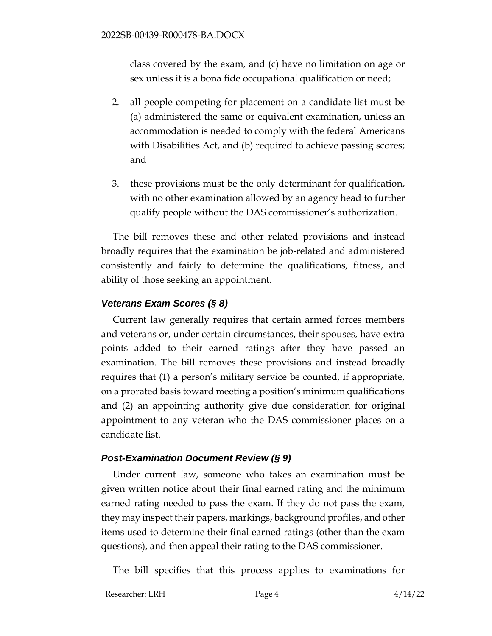class covered by the exam, and (c) have no limitation on age or sex unless it is a bona fide occupational qualification or need;

- 2. all people competing for placement on a candidate list must be (a) administered the same or equivalent examination, unless an accommodation is needed to comply with the federal Americans with Disabilities Act, and (b) required to achieve passing scores; and
- 3. these provisions must be the only determinant for qualification, with no other examination allowed by an agency head to further qualify people without the DAS commissioner's authorization.

The bill removes these and other related provisions and instead broadly requires that the examination be job-related and administered consistently and fairly to determine the qualifications, fitness, and ability of those seeking an appointment.

## *Veterans Exam Scores (§ 8)*

Current law generally requires that certain armed forces members and veterans or, under certain circumstances, their spouses, have extra points added to their earned ratings after they have passed an examination. The bill removes these provisions and instead broadly requires that (1) a person's military service be counted, if appropriate, on a prorated basis toward meeting a position's minimum qualifications and (2) an appointing authority give due consideration for original appointment to any veteran who the DAS commissioner places on a candidate list.

## *Post-Examination Document Review (§ 9)*

Under current law, someone who takes an examination must be given written notice about their final earned rating and the minimum earned rating needed to pass the exam. If they do not pass the exam, they may inspect their papers, markings, background profiles, and other items used to determine their final earned ratings (other than the exam questions), and then appeal their rating to the DAS commissioner.

The bill specifies that this process applies to examinations for

Researcher: LRH Page 4 4/14/22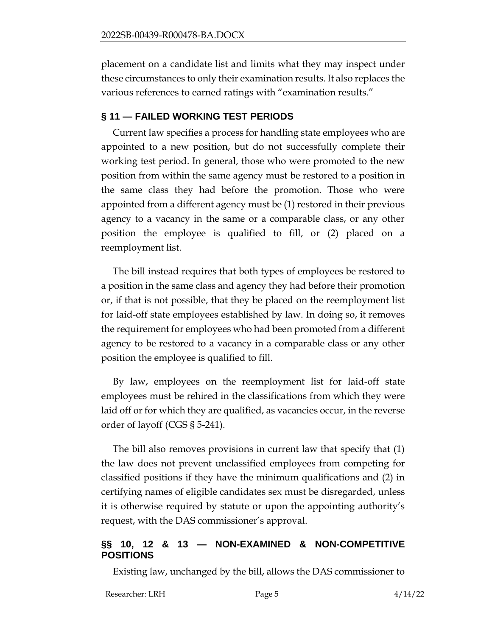placement on a candidate list and limits what they may inspect under these circumstances to only their examination results. It also replaces the various references to earned ratings with "examination results."

## **§ 11 — FAILED WORKING TEST PERIODS**

Current law specifies a process for handling state employees who are appointed to a new position, but do not successfully complete their working test period. In general, those who were promoted to the new position from within the same agency must be restored to a position in the same class they had before the promotion. Those who were appointed from a different agency must be (1) restored in their previous agency to a vacancy in the same or a comparable class, or any other position the employee is qualified to fill, or (2) placed on a reemployment list.

The bill instead requires that both types of employees be restored to a position in the same class and agency they had before their promotion or, if that is not possible, that they be placed on the reemployment list for laid-off state employees established by law. In doing so, it removes the requirement for employees who had been promoted from a different agency to be restored to a vacancy in a comparable class or any other position the employee is qualified to fill.

By law, employees on the reemployment list for laid-off state employees must be rehired in the classifications from which they were laid off or for which they are qualified, as vacancies occur, in the reverse order of layoff (CGS § 5-241).

The bill also removes provisions in current law that specify that (1) the law does not prevent unclassified employees from competing for classified positions if they have the minimum qualifications and (2) in certifying names of eligible candidates sex must be disregarded, unless it is otherwise required by statute or upon the appointing authority's request, with the DAS commissioner's approval.

## **§§ 10, 12 & 13 — NON-EXAMINED & NON-COMPETITIVE POSITIONS**

Existing law, unchanged by the bill, allows the DAS commissioner to